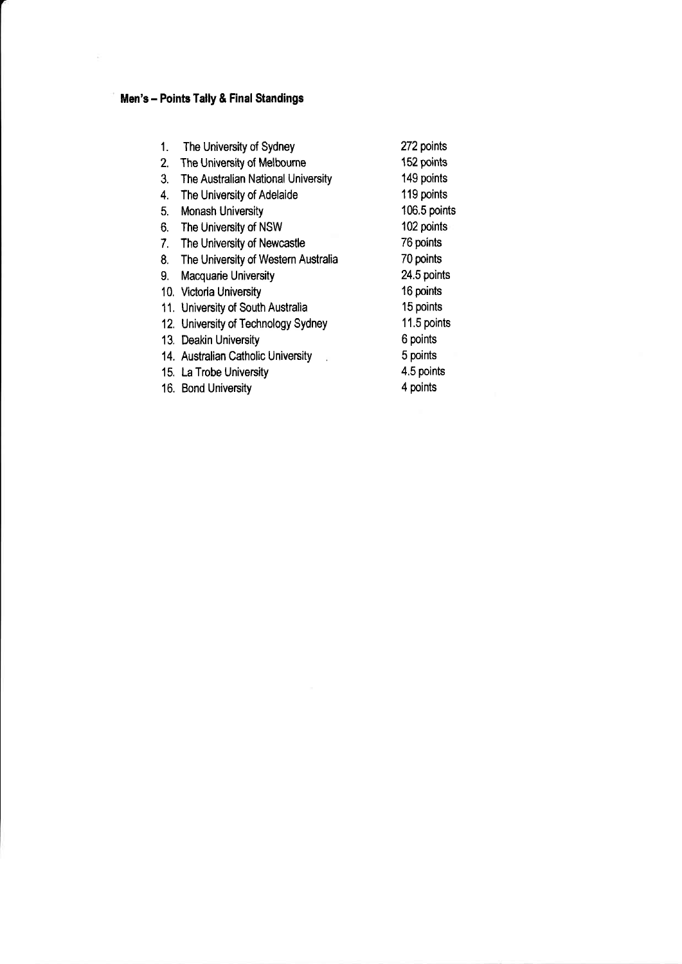## Men's - Points Tally & Final Standings

 $\tilde{\Sigma}$ 

| The University of Sydney<br>1.            | 272 points   |
|-------------------------------------------|--------------|
| The University of Melbourne<br>2.         | 152 points   |
| The Australian National University<br>3.  | 149 points   |
| The University of Adelaide<br>4.          | 119 points   |
| Monash University<br>5.                   | 106.5 points |
| The University of NSW<br>6.               | 102 points   |
| The University of Newcastle<br>7.         | 76 points    |
| The University of Western Australia<br>8. | 70 points    |
| Macquarie University<br>9.                | 24.5 points  |
| 10. Victoria University                   | 16 points    |
| 11. University of South Australia         | 15 points    |
| 12. University of Technology Sydney       | 11.5 points  |
| 13. Deakin University                     | 6 points     |
| 14. Australian Catholic University        | 5 points     |
| 15. La Trobe University                   | 4.5 points   |
| 16. Bond University                       | 4 points     |
|                                           |              |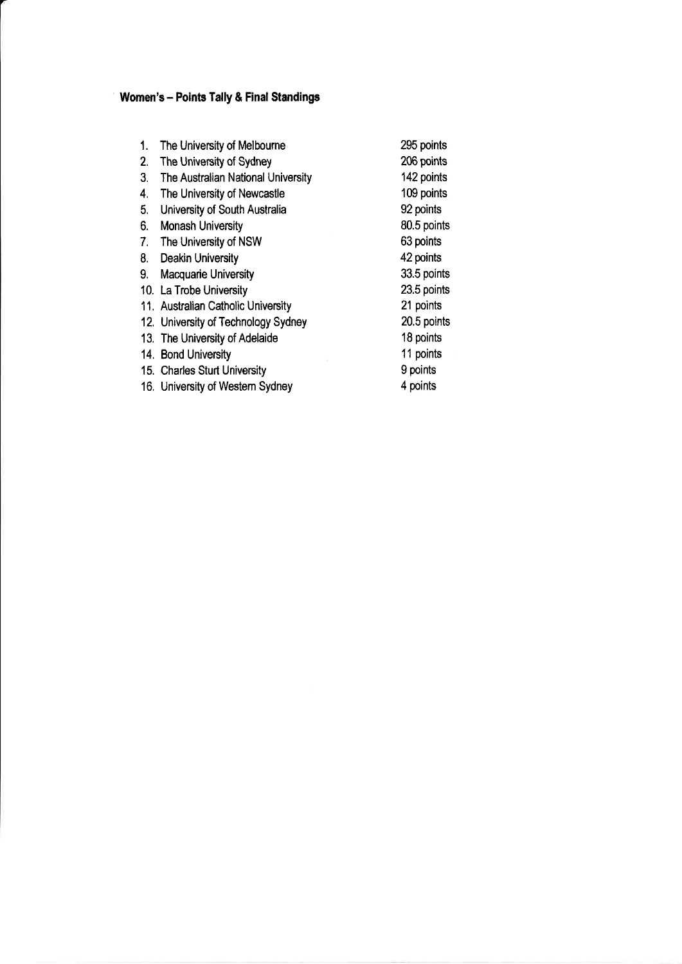## Women's - Points Tally & Final Standings

| 1.<br>2.<br>3.<br>4.<br>5.<br>6.<br>7.<br>8.<br>9. | The University of Melbourne<br>The University of Sydney<br>The Australian National University<br>The University of Newcastle<br>University of South Australia<br><b>Monash University</b><br>The University of NSW<br>Deakin University<br>Macquarie University<br>10. La Trobe University | 295 points<br>206 points<br>142 points<br>109 points<br>92 points<br>80.5 points<br>63 points<br>42 points<br>33.5 points<br>23.5 points<br>21 points |
|----------------------------------------------------|--------------------------------------------------------------------------------------------------------------------------------------------------------------------------------------------------------------------------------------------------------------------------------------------|-------------------------------------------------------------------------------------------------------------------------------------------------------|
|                                                    |                                                                                                                                                                                                                                                                                            |                                                                                                                                                       |
|                                                    |                                                                                                                                                                                                                                                                                            |                                                                                                                                                       |
|                                                    |                                                                                                                                                                                                                                                                                            |                                                                                                                                                       |
|                                                    |                                                                                                                                                                                                                                                                                            |                                                                                                                                                       |
|                                                    | 11. Australian Catholic University                                                                                                                                                                                                                                                         |                                                                                                                                                       |
|                                                    | 12. University of Technology Sydney                                                                                                                                                                                                                                                        | 20.5 points                                                                                                                                           |
|                                                    | 13. The University of Adelaide                                                                                                                                                                                                                                                             | 18 points                                                                                                                                             |
|                                                    | 14. Bond University                                                                                                                                                                                                                                                                        | 11 points                                                                                                                                             |
|                                                    | 15. Charles Sturt University                                                                                                                                                                                                                                                               | 9 points                                                                                                                                              |
|                                                    | 16. University of Western Sydney                                                                                                                                                                                                                                                           | 4 points                                                                                                                                              |